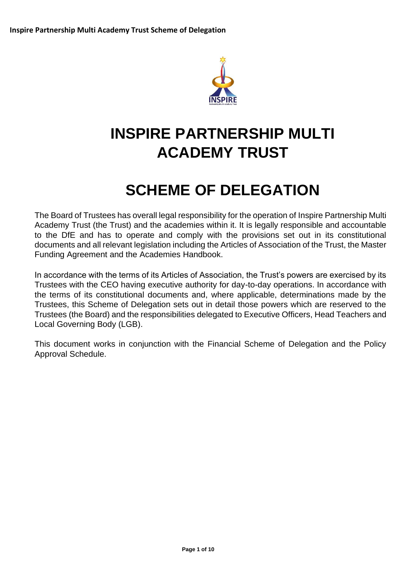

# **INSPIRE PARTNERSHIP MULTI ACADEMY TRUST**

# **SCHEME OF DELEGATION**

The Board of Trustees has overall legal responsibility for the operation of Inspire Partnership Multi Academy Trust (the Trust) and the academies within it. It is legally responsible and accountable to the DfE and has to operate and comply with the provisions set out in its constitutional documents and all relevant legislation including the Articles of Association of the Trust, the Master Funding Agreement and the Academies Handbook.

In accordance with the terms of its Articles of Association, the Trust's powers are exercised by its Trustees with the CEO having executive authority for day-to-day operations. In accordance with the terms of its constitutional documents and, where applicable, determinations made by the Trustees, this Scheme of Delegation sets out in detail those powers which are reserved to the Trustees (the Board) and the responsibilities delegated to Executive Officers, Head Teachers and Local Governing Body (LGB).

This document works in conjunction with the Financial Scheme of Delegation and the Policy Approval Schedule.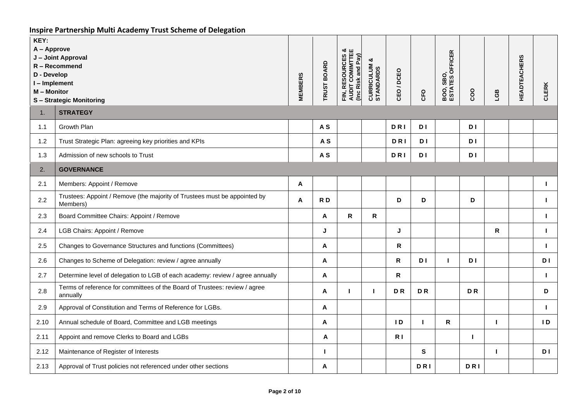| KEY:<br>A - Approve<br>D - Develop<br>I-Implement<br>M - Monitor | J - Joint Approval<br>R - Recommend<br>S-Strategic Monitoring                          | <b>MEMBERS</b> | <b>TRUST BOARD</b> | FIN, RESOURCES &<br>AUDIT COMIMITEE<br>(Inc Risk and Pay) | ఱ<br><b>CURRICULUM &amp;</b><br>STANDARDS | CEO/DCEO       | <b>CFO</b>     | <b>OFFICER</b><br>BOO, SBO,<br>ESTATES C | coo       | EGB       | <b>HEADTEACHERS</b> | CLERK          |
|------------------------------------------------------------------|----------------------------------------------------------------------------------------|----------------|--------------------|-----------------------------------------------------------|-------------------------------------------|----------------|----------------|------------------------------------------|-----------|-----------|---------------------|----------------|
| 1.                                                               | <b>STRATEGY</b>                                                                        |                |                    |                                                           |                                           |                |                |                                          |           |           |                     |                |
| 1.1                                                              | Growth Plan                                                                            |                | A <sub>S</sub>     |                                                           |                                           | <b>DRI</b>     | D I            |                                          | D I       |           |                     |                |
| 1.2                                                              | Trust Strategic Plan: agreeing key priorities and KPIs                                 |                | A <sub>S</sub>     |                                                           |                                           | <b>DRI</b>     | D I            |                                          | D I       |           |                     |                |
| 1.3                                                              | Admission of new schools to Trust                                                      |                | A <sub>S</sub>     |                                                           |                                           | <b>DRI</b>     | D <sub>1</sub> |                                          | <b>DI</b> |           |                     |                |
| 2.                                                               | <b>GOVERNANCE</b>                                                                      |                |                    |                                                           |                                           |                |                |                                          |           |           |                     |                |
| 2.1                                                              | Members: Appoint / Remove                                                              | A              |                    |                                                           |                                           |                |                |                                          |           |           |                     | $\mathbf{L}$   |
| 2.2                                                              | Trustees: Appoint / Remove (the majority of Trustees must be appointed by<br>Members)  | A              | RD                 |                                                           |                                           | D              | D              |                                          | D         |           |                     | $\mathbf{L}$   |
| 2.3                                                              | Board Committee Chairs: Appoint / Remove                                               |                | A                  | R                                                         | R.                                        |                |                |                                          |           |           |                     | $\mathbf{I}$   |
| 2.4                                                              | LGB Chairs: Appoint / Remove                                                           |                | J                  |                                                           |                                           | J              |                |                                          |           | ${\sf R}$ |                     | $\mathbf{L}$   |
| 2.5                                                              | Changes to Governance Structures and functions (Committees)                            |                | A                  |                                                           |                                           | R              |                |                                          |           |           |                     | $\mathbf{I}$   |
| 2.6                                                              | Changes to Scheme of Delegation: review / agree annually                               |                | Α                  |                                                           |                                           | $\mathsf{R}$   | D I            | п                                        | D I       |           |                     | D <sub>I</sub> |
| 2.7                                                              | Determine level of delegation to LGB of each academy: review / agree annually          |                | Α                  |                                                           |                                           | R              |                |                                          |           |           |                     | $\mathbf{I}$   |
| 2.8                                                              | Terms of reference for committees of the Board of Trustees: review / agree<br>annually |                | A                  | ш                                                         | H                                         | <b>DR</b>      | <b>DR</b>      |                                          | <b>DR</b> |           |                     | D              |
| 2.9                                                              | Approval of Constitution and Terms of Reference for LGBs.                              |                | Α                  |                                                           |                                           |                |                |                                          |           |           |                     | $\mathbf{L}$   |
| 2.10                                                             | Annual schedule of Board, Committee and LGB meetings                                   |                | A                  |                                                           |                                           | $\overline{1}$ | т              | R                                        |           | п         |                     | $\overline{D}$ |
| 2.11                                                             | Appoint and remove Clerks to Board and LGBs                                            |                | Α                  |                                                           |                                           | R <sub>1</sub> |                |                                          | п         |           |                     |                |
| 2.12                                                             | Maintenance of Register of Interests                                                   |                |                    |                                                           |                                           |                | S              |                                          |           |           |                     | D <sub>1</sub> |
| 2.13                                                             | Approval of Trust policies not referenced under other sections                         |                | Α                  |                                                           |                                           |                | DRI            |                                          | DRI       |           |                     |                |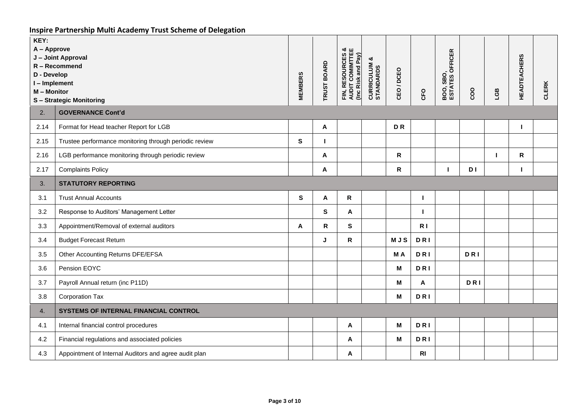| KEY:<br>A - Approve<br>J - Joint Approval<br>R - Recommend<br>D - Develop<br>I-Implement<br>M - Monitor<br><b>S-Strategic Monitoring</b> |                                                        | <b>MEMBERS</b> | <b>TRUST BOARD</b> | FIN, RESOURCES &<br>AUDIT COMIMTTEE<br>(Inc Risk and Pay) | ಳ<br><b>CURRICULUM &amp;</b><br>STANDARDS | CEO/DCEO     | CFO            | <b>BOO, SBO,<br/>ESTATES OFFICER</b> | coo        | EGB            | <b>HEADTEACHERS</b> | <b>CLERK</b> |
|------------------------------------------------------------------------------------------------------------------------------------------|--------------------------------------------------------|----------------|--------------------|-----------------------------------------------------------|-------------------------------------------|--------------|----------------|--------------------------------------|------------|----------------|---------------------|--------------|
| 2.                                                                                                                                       | <b>GOVERNANCE Cont'd</b>                               |                |                    |                                                           |                                           |              |                |                                      |            |                |                     |              |
| 2.14                                                                                                                                     | Format for Head teacher Report for LGB                 |                | A                  |                                                           |                                           | <b>DR</b>    |                |                                      |            |                | п                   |              |
| 2.15                                                                                                                                     | Trustee performance monitoring through periodic review | S              |                    |                                                           |                                           |              |                |                                      |            |                |                     |              |
| 2.16                                                                                                                                     | LGB performance monitoring through periodic review     |                | A                  |                                                           |                                           | $\mathsf{R}$ |                |                                      |            | $\blacksquare$ | $\mathsf{R}$        |              |
| 2.17                                                                                                                                     | <b>Complaints Policy</b>                               |                | Α                  |                                                           |                                           | R            |                |                                      | D I        |                |                     |              |
| 3.                                                                                                                                       | <b>STATUTORY REPORTING</b>                             |                |                    |                                                           |                                           |              |                |                                      |            |                |                     |              |
| 3.1                                                                                                                                      | <b>Trust Annual Accounts</b>                           | $\mathbf{s}$   | Α                  | $\mathsf{R}$                                              |                                           |              | н              |                                      |            |                |                     |              |
| 3.2                                                                                                                                      | Response to Auditors' Management Letter                |                | S                  | A                                                         |                                           |              |                |                                      |            |                |                     |              |
| 3.3                                                                                                                                      | Appointment/Removal of external auditors               | A              | $\mathsf{R}$       | S                                                         |                                           |              | R <sub>1</sub> |                                      |            |                |                     |              |
| 3.4                                                                                                                                      | <b>Budget Forecast Return</b>                          |                | J                  | $\mathsf R$                                               |                                           | <b>MJS</b>   | <b>DRI</b>     |                                      |            |                |                     |              |
| 3.5                                                                                                                                      | Other Accounting Returns DFE/EFSA                      |                |                    |                                                           |                                           | MA           | <b>DRI</b>     |                                      | <b>DRI</b> |                |                     |              |
| 3.6                                                                                                                                      | Pension EOYC                                           |                |                    |                                                           |                                           | $\mathbf M$  | <b>DRI</b>     |                                      |            |                |                     |              |
| 3.7                                                                                                                                      | Payroll Annual return (inc P11D)                       |                |                    |                                                           |                                           | M            | A              |                                      | <b>DRI</b> |                |                     |              |
| 3.8                                                                                                                                      | Corporation Tax                                        |                |                    |                                                           |                                           | M            | <b>DRI</b>     |                                      |            |                |                     |              |
| 4.                                                                                                                                       | SYSTEMS OF INTERNAL FINANCIAL CONTROL                  |                |                    |                                                           |                                           |              |                |                                      |            |                |                     |              |
| 4.1                                                                                                                                      | Internal financial control procedures                  |                |                    | Α                                                         |                                           | M            | <b>DRI</b>     |                                      |            |                |                     |              |
| 4.2                                                                                                                                      | Financial regulations and associated policies          |                |                    | A                                                         |                                           | $\mathbf M$  | <b>DRI</b>     |                                      |            |                |                     |              |
| 4.3                                                                                                                                      | Appointment of Internal Auditors and agree audit plan  |                |                    | A                                                         |                                           |              | R <sub>l</sub> |                                      |            |                |                     |              |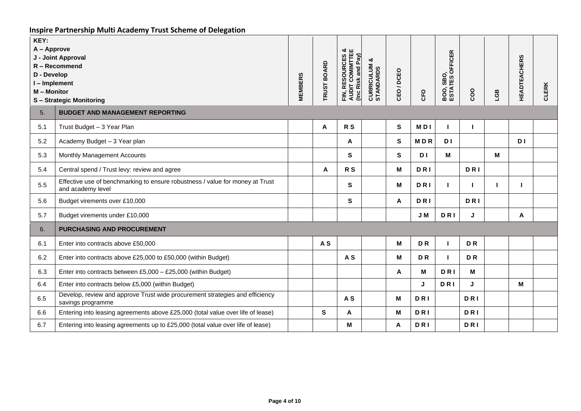| KEY:<br>A - Approve<br>D - Develop<br>I-Implement<br>M - Monitor | J - Joint Approval<br>R - Recommend<br><b>S-Strategic Monitoring</b>                               | <b>MEMBERS</b> | <b>TRUST BOARD</b> | FIN, RESOURCES &<br>AUDIT COMIMTTEE<br>(Inc Risk and Pay) | ఱ<br>CURRICULUM | /DCEO<br>CEO. | CFO            | <b>OFFICER</b><br><b>BOO, SBO,<br/>ESTATES</b> | coo        | EST | <b>HEADTEACHERS</b> | <b>CLERK</b> |
|------------------------------------------------------------------|----------------------------------------------------------------------------------------------------|----------------|--------------------|-----------------------------------------------------------|-----------------|---------------|----------------|------------------------------------------------|------------|-----|---------------------|--------------|
| 5.<br>5.1                                                        | <b>BUDGET AND MANAGEMENT REPORTING</b><br>Trust Budget - 3 Year Plan                               |                | A                  | R <sub>S</sub>                                            |                 | S             | <b>MDI</b>     |                                                |            |     |                     |              |
| 5.2                                                              | Academy Budget - 3 Year plan                                                                       |                |                    | A                                                         |                 | $\mathbf{s}$  | <b>MDR</b>     | D I                                            |            |     | <b>DI</b>           |              |
| 5.3                                                              | Monthly Management Accounts                                                                        |                |                    | S                                                         |                 | S             | D <sub>1</sub> | М                                              |            | М   |                     |              |
| 5.4                                                              | Central spend / Trust levy: review and agree                                                       |                | Α                  | R <sub>S</sub>                                            |                 | M             | DRI            |                                                | <b>DRI</b> |     |                     |              |
| 5.5                                                              | Effective use of benchmarking to ensure robustness / value for money at Trust<br>and academy level |                |                    | S                                                         |                 | M             | DRI            | п                                              |            | L.  |                     |              |
| 5.6                                                              | Budget virements over £10,000                                                                      |                |                    | S                                                         |                 | A             | DRI            |                                                | <b>DRI</b> |     |                     |              |
| 5.7                                                              | Budget virements under £10,000                                                                     |                |                    |                                                           |                 |               | J M            | <b>DRI</b>                                     | J          |     | Α                   |              |
| 6.                                                               | PURCHASING AND PROCUREMENT                                                                         |                |                    |                                                           |                 |               |                |                                                |            |     |                     |              |
| 6.1                                                              | Enter into contracts above £50,000                                                                 |                | A <sub>S</sub>     |                                                           |                 | M             | <b>DR</b>      |                                                | <b>DR</b>  |     |                     |              |
| 6.2                                                              | Enter into contracts above £25,000 to £50,000 (within Budget)                                      |                |                    | A <sub>S</sub>                                            |                 | M             | <b>DR</b>      | п                                              | <b>DR</b>  |     |                     |              |
| 6.3                                                              | Enter into contracts between £5,000 - £25,000 (within Budget)                                      |                |                    |                                                           |                 | A             | M              | <b>DRI</b>                                     | M          |     |                     |              |
| 6.4                                                              | Enter into contracts below £5,000 (within Budget)                                                  |                |                    |                                                           |                 |               | J              | <b>DRI</b>                                     | J          |     | M                   |              |
| 6.5                                                              | Develop, review and approve Trust wide procurement strategies and efficiency<br>savings programme  |                |                    | A <sub>S</sub>                                            |                 | м             | <b>DRI</b>     |                                                | <b>DRI</b> |     |                     |              |
| 6.6                                                              | Entering into leasing agreements above £25,000 (total value over life of lease)                    |                | S                  | A                                                         |                 | M             | <b>DRI</b>     |                                                | <b>DRI</b> |     |                     |              |
| 6.7                                                              | Entering into leasing agreements up to £25,000 (total value over life of lease)                    |                |                    | М                                                         |                 | A             | <b>DRI</b>     |                                                | <b>DRI</b> |     |                     |              |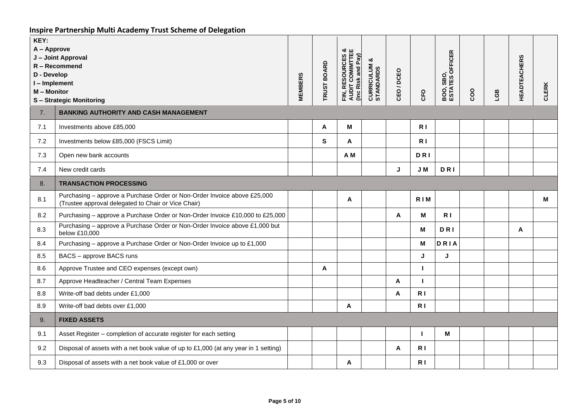| KEY:<br>A - Approve<br>D - Develop<br>I-Implement<br>M - Monitor | J - Joint Approval<br>R - Recommend<br><b>S-Strategic Monitoring</b>                                                            | <b>MEMBERS</b> | <b>TRUST BOARD</b> | FIN, RESOURCES &<br>AUDIT COMINITTEE<br>(Inc Risk and Pay) | య<br>CURRICULUM | CEO/DCEO | <b>CFO</b>     | <b>OFFICER</b><br>SBO <sub>.</sub><br><b>BOO, SBO,<br/>ESTATES</b> | coo | EGB | <b>HEADTEACHERS</b> | <b>CLERK</b> |
|------------------------------------------------------------------|---------------------------------------------------------------------------------------------------------------------------------|----------------|--------------------|------------------------------------------------------------|-----------------|----------|----------------|--------------------------------------------------------------------|-----|-----|---------------------|--------------|
| 7.                                                               | <b>BANKING AUTHORITY AND CASH MANAGEMENT</b>                                                                                    |                |                    |                                                            |                 |          |                |                                                                    |     |     |                     |              |
| 7.1                                                              | Investments above £85,000                                                                                                       |                | A                  | М                                                          |                 |          | R <sub>1</sub> |                                                                    |     |     |                     |              |
| 7.2                                                              | Investments below £85,000 (FSCS Limit)                                                                                          |                | S                  | A                                                          |                 |          | R <sub>1</sub> |                                                                    |     |     |                     |              |
| 7.3                                                              | Open new bank accounts                                                                                                          |                |                    | A M                                                        |                 |          | DRI            |                                                                    |     |     |                     |              |
| 7.4                                                              | New credit cards                                                                                                                |                |                    |                                                            |                 | J        | J M            | <b>DRI</b>                                                         |     |     |                     |              |
| 8.                                                               | <b>TRANSACTION PROCESSING</b>                                                                                                   |                |                    |                                                            |                 |          |                |                                                                    |     |     |                     |              |
| 8.1                                                              | Purchasing - approve a Purchase Order or Non-Order Invoice above £25,000<br>(Trustee approval delegated to Chair or Vice Chair) |                |                    | Α                                                          |                 |          | RIM            |                                                                    |     |     |                     | м            |
| 8.2                                                              | Purchasing - approve a Purchase Order or Non-Order Invoice £10,000 to £25,000                                                   |                |                    |                                                            |                 | A        | M              | R <sub>1</sub>                                                     |     |     |                     |              |
| 8.3                                                              | Purchasing - approve a Purchase Order or Non-Order Invoice above £1,000 but<br>below £10,000                                    |                |                    |                                                            |                 |          | М              | <b>DRI</b>                                                         |     |     | A                   |              |
| 8.4                                                              | Purchasing - approve a Purchase Order or Non-Order Invoice up to £1,000                                                         |                |                    |                                                            |                 |          | M              | DRIA                                                               |     |     |                     |              |
| 8.5                                                              | BACS - approve BACS runs                                                                                                        |                |                    |                                                            |                 |          | J              | J                                                                  |     |     |                     |              |
| 8.6                                                              | Approve Trustee and CEO expenses (except own)                                                                                   |                | Α                  |                                                            |                 |          | п              |                                                                    |     |     |                     |              |
| 8.7                                                              | Approve Headteacher / Central Team Expenses                                                                                     |                |                    |                                                            |                 | A        | $\mathbf{I}$   |                                                                    |     |     |                     |              |
| 8.8                                                              | Write-off bad debts under £1,000                                                                                                |                |                    |                                                            |                 | A        | R <sub>1</sub> |                                                                    |     |     |                     |              |
| 8.9                                                              | Write-off bad debts over £1,000                                                                                                 |                |                    | A                                                          |                 |          | R <sub>1</sub> |                                                                    |     |     |                     |              |
| 9.                                                               | <b>FIXED ASSETS</b>                                                                                                             |                |                    |                                                            |                 |          |                |                                                                    |     |     |                     |              |
| 9.1                                                              | Asset Register - completion of accurate register for each setting                                                               |                |                    |                                                            |                 |          | $\mathbf{I}$   | M                                                                  |     |     |                     |              |
| 9.2                                                              | Disposal of assets with a net book value of up to £1,000 (at any year in 1 setting)                                             |                |                    |                                                            |                 | A        | R <sub>1</sub> |                                                                    |     |     |                     |              |
| 9.3                                                              | Disposal of assets with a net book value of £1,000 or over                                                                      |                |                    | A                                                          |                 |          | R <sub>1</sub> |                                                                    |     |     |                     |              |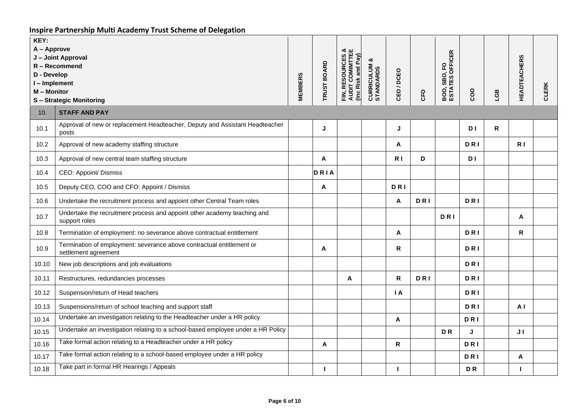| KEY:<br>A - Approve<br>J - Joint Approval<br>R - Recommend<br>D - Develop<br>I-Implement<br>M - Monitor<br><b>S-Strategic Monitoring</b> |                                                                                               | <b>MEMBERS</b> | <b>TRUST BOARD</b> | <b>FIN, RESOURCES &amp;<br/>AUDIT COMIMTTEE</b><br>(Inc Risk and Pay) | ఱ<br><b>CURRICULUM &amp;</b><br>STANDARDS | CEO/DCEO       | <b>CFO</b> | <b>OFFICER</b><br>요<br>SBO,<br><b>BOO, SBO<br/>ESTATES</b> | coo            | LGB | <b>HEADTEACHERS</b> | <b>CLERK</b> |
|------------------------------------------------------------------------------------------------------------------------------------------|-----------------------------------------------------------------------------------------------|----------------|--------------------|-----------------------------------------------------------------------|-------------------------------------------|----------------|------------|------------------------------------------------------------|----------------|-----|---------------------|--------------|
| 10.                                                                                                                                      | <b>STAFF AND PAY</b>                                                                          |                |                    |                                                                       |                                           |                |            |                                                            |                |     |                     |              |
| 10.1                                                                                                                                     | Approval of new or replacement Headteacher, Deputy and Assistant Headteacher<br>posts         |                | J                  |                                                                       |                                           | J              |            |                                                            | D <sub>I</sub> | R   |                     |              |
| 10.2                                                                                                                                     | Approval of new academy staffing structure                                                    |                |                    |                                                                       |                                           | A              |            |                                                            | <b>DRI</b>     |     | R <sub>1</sub>      |              |
| 10.3                                                                                                                                     | Approval of new central team staffing structure                                               |                | A                  |                                                                       |                                           | R <sub>1</sub> | D          |                                                            | D I            |     |                     |              |
| 10.4                                                                                                                                     | CEO: Appoint/ Dismiss                                                                         |                | DRIA               |                                                                       |                                           |                |            |                                                            |                |     |                     |              |
| 10.5                                                                                                                                     | Deputy CEO, COO and CFO: Appoint / Dismiss                                                    |                | A                  |                                                                       |                                           | DRI            |            |                                                            |                |     |                     |              |
| 10.6                                                                                                                                     | Undertake the recruitment process and appoint other Central Team roles                        |                |                    |                                                                       |                                           | A              | <b>DRI</b> |                                                            | <b>DRI</b>     |     |                     |              |
| 10.7                                                                                                                                     | Undertake the recruitment process and appoint other academy teaching and<br>support roles     |                |                    |                                                                       |                                           |                |            | <b>DRI</b>                                                 |                |     | A                   |              |
| 10.8                                                                                                                                     | Termination of employment: no severance above contractual entitlement                         |                |                    |                                                                       |                                           | A              |            |                                                            | <b>DRI</b>     |     | R                   |              |
| 10.9                                                                                                                                     | Termination of employment: severance above contractual entitlement or<br>settlement agreement |                | A                  |                                                                       |                                           | R              |            |                                                            | <b>DRI</b>     |     |                     |              |
| 10.10                                                                                                                                    | New job descriptions and job evaluations                                                      |                |                    |                                                                       |                                           |                |            |                                                            | <b>DRI</b>     |     |                     |              |
| 10.11                                                                                                                                    | Restructures, redundancies processes                                                          |                |                    | A                                                                     |                                           | $\mathbf R$    | <b>DRI</b> |                                                            | <b>DRI</b>     |     |                     |              |
| 10.12                                                                                                                                    | Suspension/return of Head teachers                                                            |                |                    |                                                                       |                                           | I A            |            |                                                            | DRI            |     |                     |              |
| 10.13                                                                                                                                    | Suspensions/return of school teaching and support staff                                       |                |                    |                                                                       |                                           |                |            |                                                            | <b>DRI</b>     |     | A <sub>l</sub>      |              |
| 10.14                                                                                                                                    | Undertake an investigation relating to the Headteacher under a HR policy                      |                |                    |                                                                       |                                           | Α              |            |                                                            | <b>DRI</b>     |     |                     |              |
| 10.15                                                                                                                                    | Undertake an investigation relating to a school-based employee under a HR Policy              |                |                    |                                                                       |                                           |                |            | <b>DR</b>                                                  | J              |     | J <sub>1</sub>      |              |
| 10.16                                                                                                                                    | Take formal action relating to a Headteacher under a HR policy                                |                | A                  |                                                                       |                                           | R              |            |                                                            | DRI            |     |                     |              |
| 10.17                                                                                                                                    | Take formal action relating to a school-based employee under a HR policy                      |                |                    |                                                                       |                                           |                |            |                                                            | <b>DRI</b>     |     | A                   |              |
| 10.18                                                                                                                                    | Take part in formal HR Hearings / Appeals                                                     |                | п                  |                                                                       |                                           | п              |            |                                                            | <b>DR</b>      |     | т                   |              |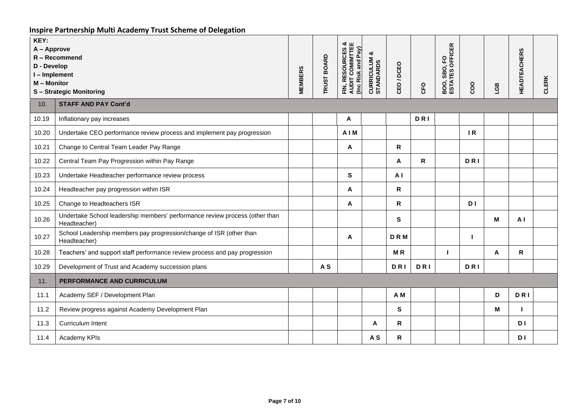| KEY:<br>A - Approve<br>R-Recommend<br>D - Develop<br>I-Implement<br>M - Monitor<br><b>S-Strategic Monitoring</b> |                                                                                             | <b>MEMBERS</b> | <b>TRUST BOARD</b> | <b>FIN, RESOURCES &amp;<br/>AUDIT COMIMTTEE</b><br>(Inc Risk and Pay) | ಯ<br><b>CURRICULUM &amp;</b><br>STANDARDS | CEO/DCEO     | <b>CFO</b> | <b>BOO, SBO, FO<br/>ESTATES OFFICER</b> | coo            | LGB | <b>HEADTEACHERS</b> | CLERK |
|------------------------------------------------------------------------------------------------------------------|---------------------------------------------------------------------------------------------|----------------|--------------------|-----------------------------------------------------------------------|-------------------------------------------|--------------|------------|-----------------------------------------|----------------|-----|---------------------|-------|
| 10.                                                                                                              | <b>STAFF AND PAY Cont'd</b>                                                                 |                |                    |                                                                       |                                           |              |            |                                         |                |     |                     |       |
| 10.19                                                                                                            | Inflationary pay increases                                                                  |                |                    | A                                                                     |                                           |              | DRI        |                                         |                |     |                     |       |
| 10.20                                                                                                            | Undertake CEO performance review process and implement pay progression                      |                |                    | <b>AIM</b>                                                            |                                           |              |            |                                         | IR             |     |                     |       |
| 10.21                                                                                                            | Change to Central Team Leader Pay Range                                                     |                |                    | A                                                                     |                                           | $\mathsf R$  |            |                                         |                |     |                     |       |
| 10.22                                                                                                            | Central Team Pay Progression within Pay Range                                               |                |                    |                                                                       |                                           | Α            | R          |                                         | DRI            |     |                     |       |
| 10.23                                                                                                            | Undertake Headteacher performance review process                                            |                |                    | S                                                                     |                                           | A I          |            |                                         |                |     |                     |       |
| 10.24                                                                                                            | Headteacher pay progression within ISR                                                      |                |                    | A                                                                     |                                           | R            |            |                                         |                |     |                     |       |
| 10.25                                                                                                            | Change to Headteachers ISR                                                                  |                |                    | A                                                                     |                                           | $\mathsf R$  |            |                                         | D <sub>1</sub> |     |                     |       |
| 10.26                                                                                                            | Undertake School leadership members' performance review process (other than<br>Headteacher) |                |                    |                                                                       |                                           | ${\bf S}$    |            |                                         |                | М   | AI                  |       |
| 10.27                                                                                                            | School Leadership members pay progression/change of ISR (other than<br>Headteacher)         |                |                    | A                                                                     |                                           | <b>DRM</b>   |            |                                         |                |     |                     |       |
| 10.28                                                                                                            | Teachers' and support staff performance review process and pay progression                  |                |                    |                                                                       |                                           | MR           |            | I.                                      |                | A   | $\mathsf{R}$        |       |
| 10.29                                                                                                            | Development of Trust and Academy succession plans                                           |                | A <sub>S</sub>     |                                                                       |                                           | <b>DRI</b>   | <b>DRI</b> |                                         | <b>DRI</b>     |     |                     |       |
| 11.                                                                                                              | PERFORMANCE AND CURRICULUM                                                                  |                |                    |                                                                       |                                           |              |            |                                         |                |     |                     |       |
| 11.1                                                                                                             | Academy SEF / Development Plan                                                              |                |                    |                                                                       |                                           | A M          |            |                                         |                | D   | <b>DRI</b>          |       |
| 11.2                                                                                                             | Review progress against Academy Development Plan                                            |                |                    |                                                                       |                                           | S            |            |                                         |                | Μ   |                     |       |
| 11.3                                                                                                             | Curriculum Intent                                                                           |                |                    |                                                                       | A                                         | $\mathsf{R}$ |            |                                         |                |     | D <sub>1</sub>      |       |
| 11.4                                                                                                             | Academy KPIs                                                                                |                |                    |                                                                       | A <sub>S</sub>                            | ${\sf R}$    |            |                                         |                |     | D I                 |       |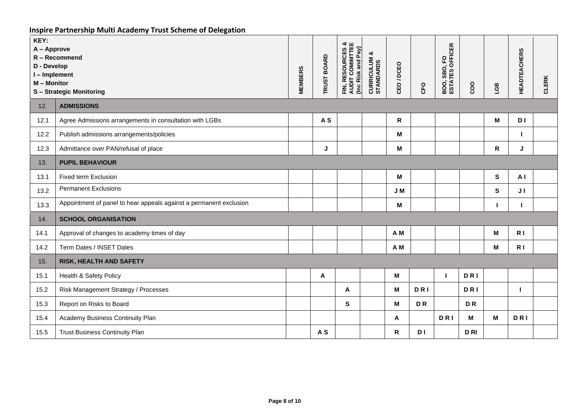| KEY:<br>A - Approve<br>R - Recommend<br>D - Develop<br>I-Implement<br>M - Monitor<br><b>S-Strategic Monitoring</b> |                                                                    | <b>MEMBERS</b> | <b>TRUST BOARD</b> | <b>FIN, RESOURCES &amp;<br/>AUDIT COMIMTTEE</b><br>(Inc Risk and Pay) | ೲ<br><b>CURRICULUM</b><br>STANDARDS | CEO / DCEO   | CFO            | <b>BOO, SBO, FO<br/>ESTATES OFFICER</b> | coo        | LGB          | <b>HEADTEACHERS</b> | <b>CLERK</b> |
|--------------------------------------------------------------------------------------------------------------------|--------------------------------------------------------------------|----------------|--------------------|-----------------------------------------------------------------------|-------------------------------------|--------------|----------------|-----------------------------------------|------------|--------------|---------------------|--------------|
| 12.                                                                                                                | <b>ADMISSIONS</b>                                                  |                |                    |                                                                       |                                     |              |                |                                         |            |              |                     |              |
| 12.1                                                                                                               | Agree Admissions arrangements in consultation with LGBs            |                | A <sub>S</sub>     |                                                                       |                                     | $\mathsf{R}$ |                |                                         |            | M            | D I                 |              |
| 12.2                                                                                                               | Publish admissions arrangements/policies                           |                |                    |                                                                       |                                     | M            |                |                                         |            |              |                     |              |
| 12.3                                                                                                               | Admittance over PAN/refusal of place                               |                | J                  |                                                                       |                                     | M            |                |                                         |            | R            | J                   |              |
| 13.                                                                                                                | <b>PUPIL BEHAVIOUR</b>                                             |                |                    |                                                                       |                                     |              |                |                                         |            |              |                     |              |
| 13.1                                                                                                               | Fixed term Exclusion                                               |                |                    |                                                                       |                                     | M            |                |                                         |            | S            | A <sub>1</sub>      |              |
| 13.2                                                                                                               | <b>Permanent Exclusions</b>                                        |                |                    |                                                                       |                                     | J M          |                |                                         |            | S            | J <sub>1</sub>      |              |
| 13.3                                                                                                               | Appointment of panel to hear appeals against a permanent exclusion |                |                    |                                                                       |                                     | M            |                |                                         |            | $\mathbf{I}$ | $\mathbf{I}$        |              |
| 14.                                                                                                                | <b>SCHOOL ORGANISATION</b>                                         |                |                    |                                                                       |                                     |              |                |                                         |            |              |                     |              |
| 14.1                                                                                                               | Approval of changes to academy times of day                        |                |                    |                                                                       |                                     | A M          |                |                                         |            | M            | R <sub>1</sub>      |              |
| 14.2                                                                                                               | Term Dates / INSET Dates                                           |                |                    |                                                                       |                                     | A M          |                |                                         |            | М            | R <sub>1</sub>      |              |
| 15.                                                                                                                | RISK, HEALTH AND SAFETY                                            |                |                    |                                                                       |                                     |              |                |                                         |            |              |                     |              |
| 15.1                                                                                                               | Health & Safety Policy                                             |                | A                  |                                                                       |                                     | M            |                |                                         | <b>DRI</b> |              |                     |              |
| 15.2                                                                                                               | Risk Management Strategy / Processes                               |                |                    | A                                                                     |                                     | M            | <b>DRI</b>     |                                         | <b>DRI</b> |              |                     |              |
| 15.3                                                                                                               | Report on Risks to Board                                           |                |                    | S                                                                     |                                     | M            | D <sub>R</sub> |                                         | <b>DR</b>  |              |                     |              |
| 15.4                                                                                                               | Academy Business Continuity Plan                                   |                |                    |                                                                       |                                     | Α            |                | <b>DRI</b>                              | M          | M            | <b>DRI</b>          |              |
| 15.5                                                                                                               | <b>Trust Business Continuity Plan</b>                              |                | A <sub>S</sub>     |                                                                       |                                     | $\mathsf{R}$ | D I            |                                         | <b>DRI</b> |              |                     |              |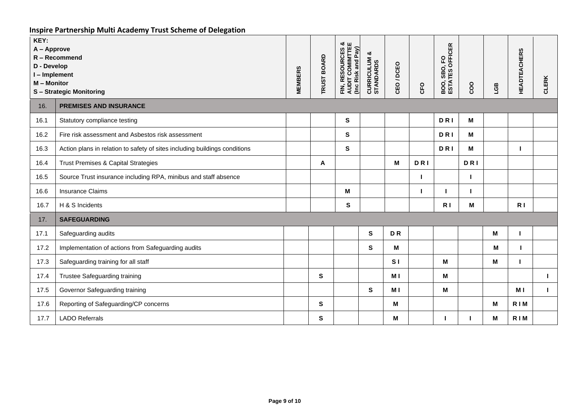| KEY:<br>A - Approve<br>R - Recommend<br>D - Develop<br>I-Implement<br>M - Monitor<br><b>S-Strategic Monitoring</b> |                                                                            | <b>MEMBERS</b> | <b>TRUST BOARD</b> | <b>RESOURCES &amp;<br/>DIT COMIMITEE</b><br>and Pay)<br>Risk<br>FIN, RE:<br>AUDIT (<br>$l$ | ఱ<br><b>CURRICULUM &amp;</b><br>STANDARDS | CEO/DCEO       | CFO | <b>BOO, SBO, FO<br/>ESTATES OFFICER</b> | coo        | <b>EST</b> | <b>HEADTEACHERS</b> | <b>CLERK</b> |
|--------------------------------------------------------------------------------------------------------------------|----------------------------------------------------------------------------|----------------|--------------------|--------------------------------------------------------------------------------------------|-------------------------------------------|----------------|-----|-----------------------------------------|------------|------------|---------------------|--------------|
| 16.                                                                                                                | <b>PREMISES AND INSURANCE</b>                                              |                |                    |                                                                                            |                                           |                |     |                                         |            |            |                     |              |
| 16.1                                                                                                               | Statutory compliance testing                                               |                |                    | S                                                                                          |                                           |                |     | <b>DRI</b>                              | M          |            |                     |              |
| 16.2                                                                                                               | Fire risk assessment and Asbestos risk assessment                          |                |                    | $\mathbf{s}$                                                                               |                                           |                |     | <b>DRI</b>                              | M          |            |                     |              |
| 16.3                                                                                                               | Action plans in relation to safety of sites including buildings conditions |                |                    | S                                                                                          |                                           |                |     | <b>DRI</b>                              | M          |            |                     |              |
| 16.4                                                                                                               | <b>Trust Premises &amp; Capital Strategies</b>                             |                | A                  |                                                                                            |                                           | М              | DRI |                                         | <b>DRI</b> |            |                     |              |
| 16.5                                                                                                               | Source Trust insurance including RPA, minibus and staff absence            |                |                    |                                                                                            |                                           |                |     |                                         |            |            |                     |              |
| 16.6                                                                                                               | <b>Insurance Claims</b>                                                    |                |                    | M                                                                                          |                                           |                |     |                                         |            |            |                     |              |
| 16.7                                                                                                               | H & S Incidents                                                            |                |                    | S                                                                                          |                                           |                |     | R I                                     | M          |            | R <sub>1</sub>      |              |
| 17.                                                                                                                | <b>SAFEGUARDING</b>                                                        |                |                    |                                                                                            |                                           |                |     |                                         |            |            |                     |              |
| 17.1                                                                                                               | Safeguarding audits                                                        |                |                    |                                                                                            | $\mathbf{s}$                              | DR             |     |                                         |            | М          |                     |              |
| 17.2                                                                                                               | Implementation of actions from Safeguarding audits                         |                |                    |                                                                                            | $\mathbf{s}$                              | M              |     |                                         |            | M          |                     |              |
| 17.3                                                                                                               | Safeguarding training for all staff                                        |                |                    |                                                                                            |                                           | S <sub>1</sub> |     | M                                       |            | м          |                     |              |
| 17.4                                                                                                               | Trustee Safeguarding training                                              |                | $\mathbf{s}$       |                                                                                            |                                           | M I            |     | M                                       |            |            |                     | ı            |
| 17.5                                                                                                               | Governor Safeguarding training                                             |                |                    |                                                                                            | S                                         | M I            |     | M                                       |            |            | M I                 | L            |
| 17.6                                                                                                               | Reporting of Safeguarding/CP concerns                                      |                | $\mathbf{s}$       |                                                                                            |                                           | М              |     |                                         |            | M          | RIM                 |              |
| 17.7                                                                                                               | <b>LADO Referrals</b>                                                      |                | S                  |                                                                                            |                                           | М              |     |                                         |            | Μ          | RIM                 |              |